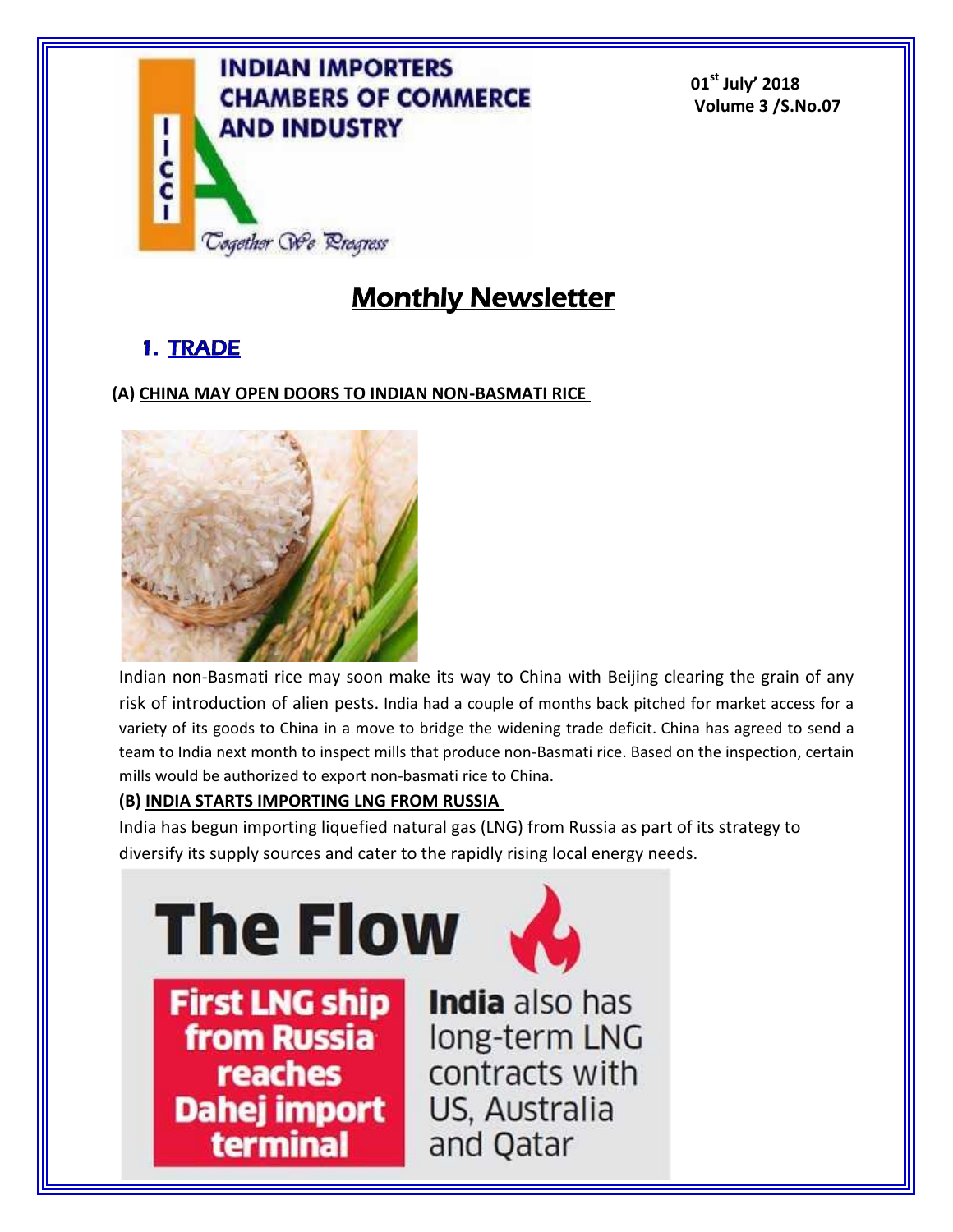

**01st July' 2018 Volume 3 /S.No.07**

# **Monthly Newsletter**

# **1. TRADE**

# **(A) CHINA MAY OPEN DOORS TO INDIAN NON-BASMATI RICE**



Indian non-Basmati rice may soon make its way to China with Beijing clearing the grain of any risk of introduction of alien pests. India had a couple of months back pitched for market access for a variety of its goods to China in a move to bridge the widening trade deficit. China has agreed to send a team to India next month to inspect mills that produce non-Basmati rice. Based on the inspection, certain mills would be authorized to export non-basmati rice to China.

# **(B) INDIA STARTS IMPORTING LNG FROM RUSSIA**

India has begun importing liquefied natural gas (LNG) from Russia as part of its strategy to diversify its supply sources and cater to the rapidly rising local energy needs.

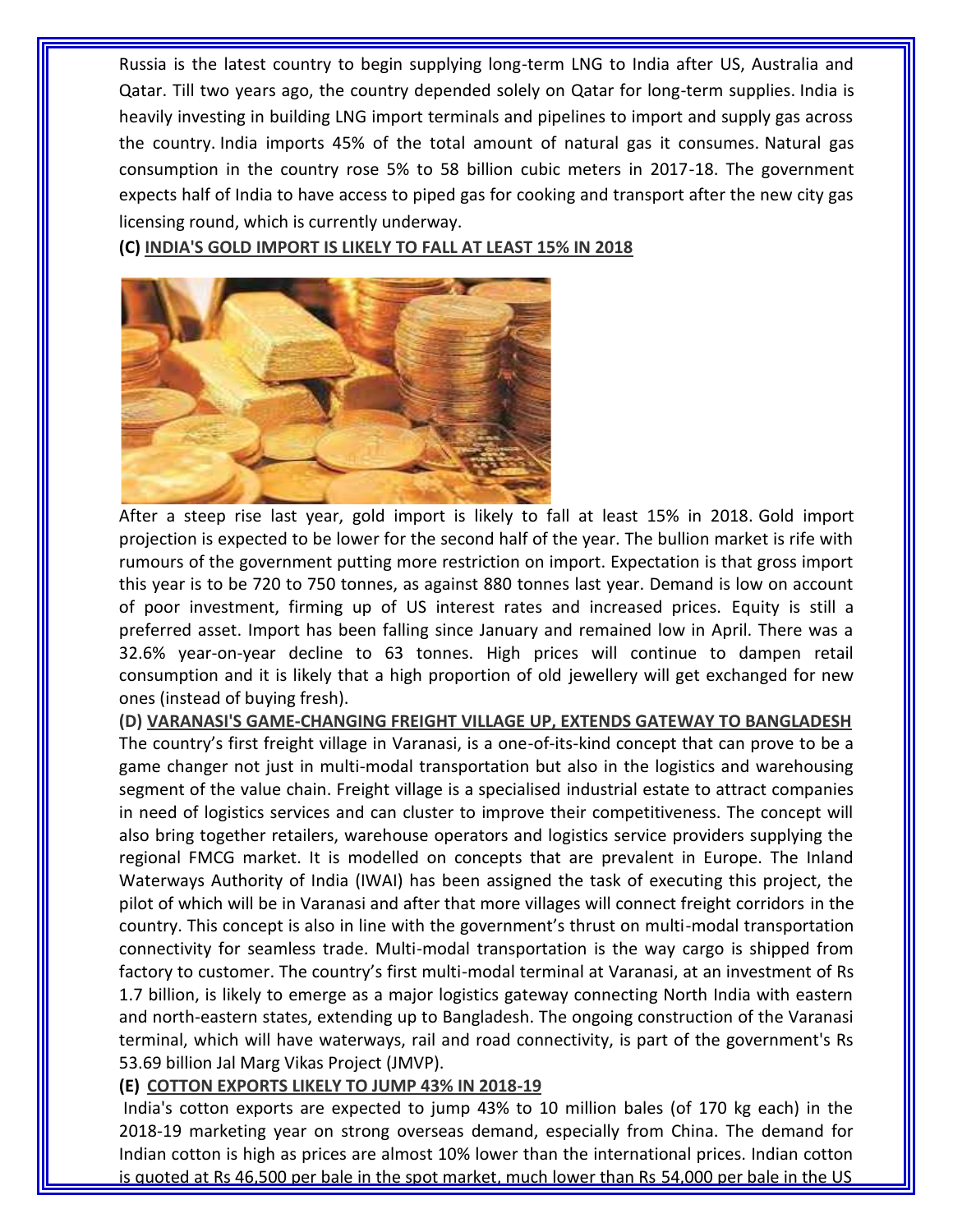Russia is the latest country to begin supplying long-term LNG to India after US, Australia and Qatar. Till two years ago, the country depended solely on Qatar for long-term supplies. India is heavily investing in building LNG import terminals and pipelines to import and supply gas across the country. India imports 45% of the total amount of natural gas it consumes. Natural gas consumption in the country rose 5% to 58 billion cubic meters in 2017-18. The government expects half of India to have access to piped gas for cooking and transport after the new city gas licensing round, which is currently underway.

**(C) INDIA'S GOLD IMPORT IS LIKELY TO FALL AT LEAST 15% IN 2018**



After a steep rise last year, gold import is likely to fall at least 15% in 2018. Gold import projection is expected to be lower for the second half of the year. The bullion market is rife with rumours of the government putting more restriction on import. Expectation is that gross import this year is to be 720 to 750 tonnes, as against 880 tonnes last year. Demand is low on account of poor investment, firming up of US interest rates and increased prices. Equity is still a preferred asset. Import has been falling since January and remained low in April. There was a 32.6% year-on-year decline to 63 tonnes. High prices will continue to dampen retail consumption and it is likely that a high proportion of old jewellery will get exchanged for new ones (instead of buying fresh).

**(D) VARANASI'S GAME-CHANGING FREIGHT VILLAGE UP, EXTENDS GATEWAY TO BANGLADESH** The country's first freight village in Varanasi, is a one-of-its-kind concept that can prove to be a game changer not just in multi-modal transportation but also in the logistics and warehousing segment of the value chain. Freight village is a specialised industrial estate to attract companies in need of logistics services and can cluster to improve their competitiveness. The concept will also bring together retailers, warehouse operators and logistics service providers supplying the regional FMCG market. It is modelled on concepts that are prevalent in Europe. The Inland Waterways Authority of India (IWAI) has been assigned the task of executing this project, the pilot of which will be in Varanasi and after that more villages will connect freight corridors in the country. This concept is also in line with the government's thrust on multi-modal transportation connectivity for seamless trade. Multi-modal transportation is the way cargo is shipped from factory to customer. The country's first multi-modal terminal at Varanasi, at an investment of Rs 1.7 billion, is likely to emerge as a major logistics gateway connecting North India with eastern and north-eastern states, extending up to Bangladesh. The ongoing construction of the Varanasi terminal, which will have waterways, rail and road connectivity, is part of the government's Rs 53.69 billion Jal Marg Vikas Project (JMVP).

## **(E) COTTON EXPORTS LIKELY TO JUMP 43% IN 2018-19**

India's cotton exports are expected to jump 43% to 10 million bales (of 170 kg each) in the 2018-19 marketing year on strong overseas demand, especially from China. The demand for Indian cotton is high as prices are almost 10% lower than the international prices. Indian cotton is quoted at Rs 46,500 per bale in the spot market, much lower than Rs 54,000 per bale in the US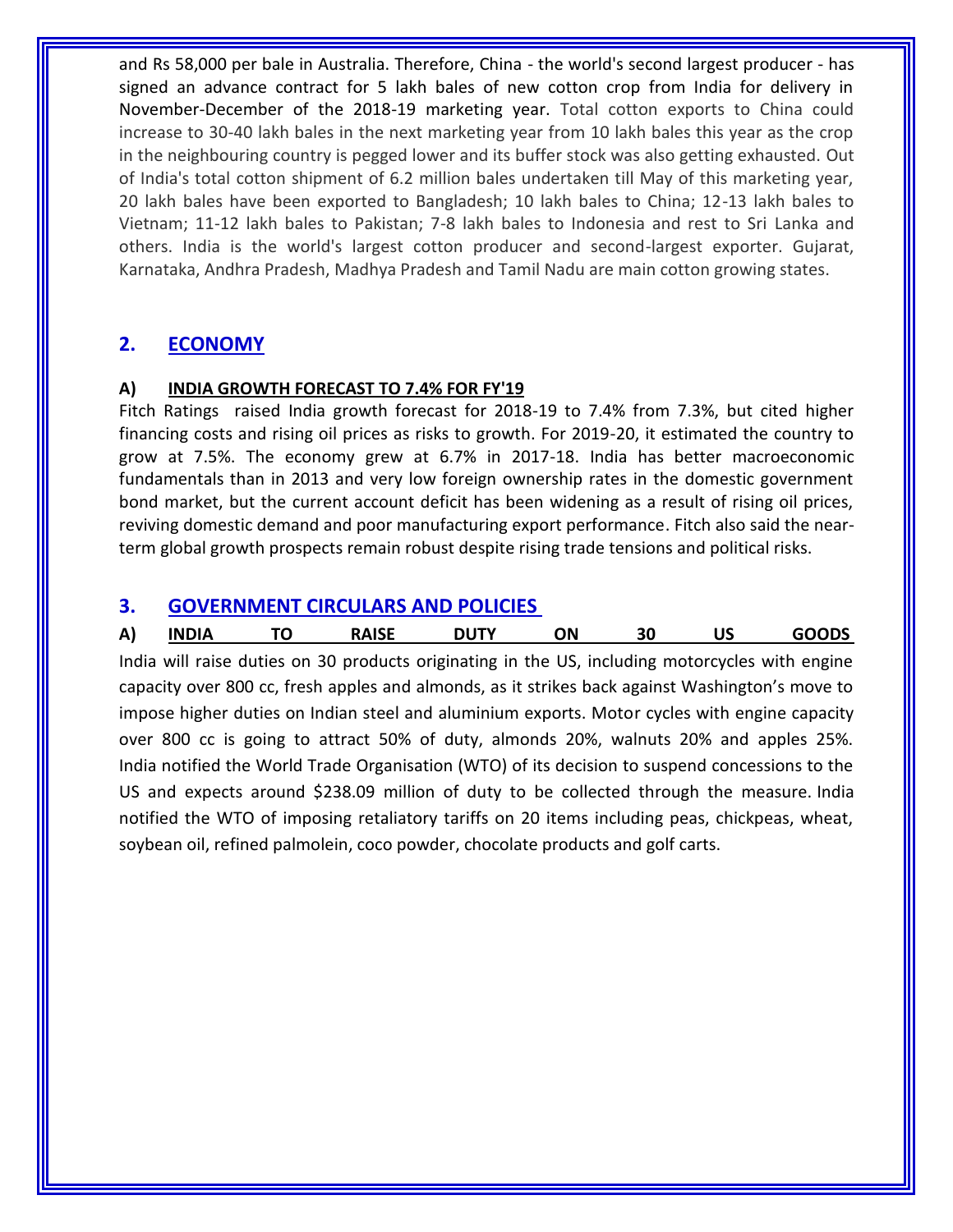and Rs 58,000 per bale in Australia. Therefore, China - the world's second largest producer - has signed an advance contract for 5 lakh bales of new cotton crop from India for delivery in November-December of the 2018-19 marketing year. Total cotton exports to China could increase to 30-40 lakh bales in the next marketing year from 10 lakh bales this year as the crop in the neighbouring country is pegged lower and its buffer stock was also getting exhausted. Out of India's total cotton shipment of 6.2 million bales undertaken till May of this marketing year, 20 lakh bales have been exported to Bangladesh; 10 lakh bales to China; 12-13 lakh bales to Vietnam; 11-12 lakh bales to Pakistan; 7-8 lakh bales to Indonesia and rest to Sri Lanka and others. India is the world's largest cotton producer and second-largest exporter. Gujarat, Karnataka, Andhra Pradesh, Madhya Pradesh and Tamil Nadu are main cotton growing states.

# **2. ECONOMY**

### **A) INDIA GROWTH FORECAST TO 7.4% FOR FY'19**

Fitch Ratings raised India growth forecast for 2018-19 to 7.4% from 7.3%, but cited higher financing costs and rising oil prices as risks to growth. For 2019-20, it estimated the country to grow at 7.5%. The economy grew at 6.7% in 2017-18. India has better macroeconomic fundamentals than in 2013 and very low foreign ownership rates in the domestic government bond market, but the current account deficit has been widening as a result of rising oil prices, reviving domestic demand and poor manufacturing export performance. Fitch also said the nearterm global growth prospects remain robust despite rising trade tensions and political risks.

# **3. GOVERNMENT CIRCULARS AND POLICIES**

| A) |  | <b>RAISE</b> | ١N |  | ODS<br>œ |
|----|--|--------------|----|--|----------|
|    |  |              |    |  |          |

India will raise duties on 30 products originating in the US, including motorcycles with engine capacity over 800 cc, fresh apples and almonds, as it strikes back against Washington's move to impose higher duties on Indian steel and aluminium exports. Motor cycles with engine capacity over 800 cc is going to attract 50% of duty, almonds 20%, walnuts 20% and apples 25%. India notified the World Trade Organisation (WTO) of its decision to suspend concessions to the US and expects around \$238.09 million of duty to be collected through the measure. India notified the WTO of imposing retaliatory tariffs on 20 items including peas, chickpeas, wheat, soybean oil, refined palmolein, coco powder, chocolate products and golf carts.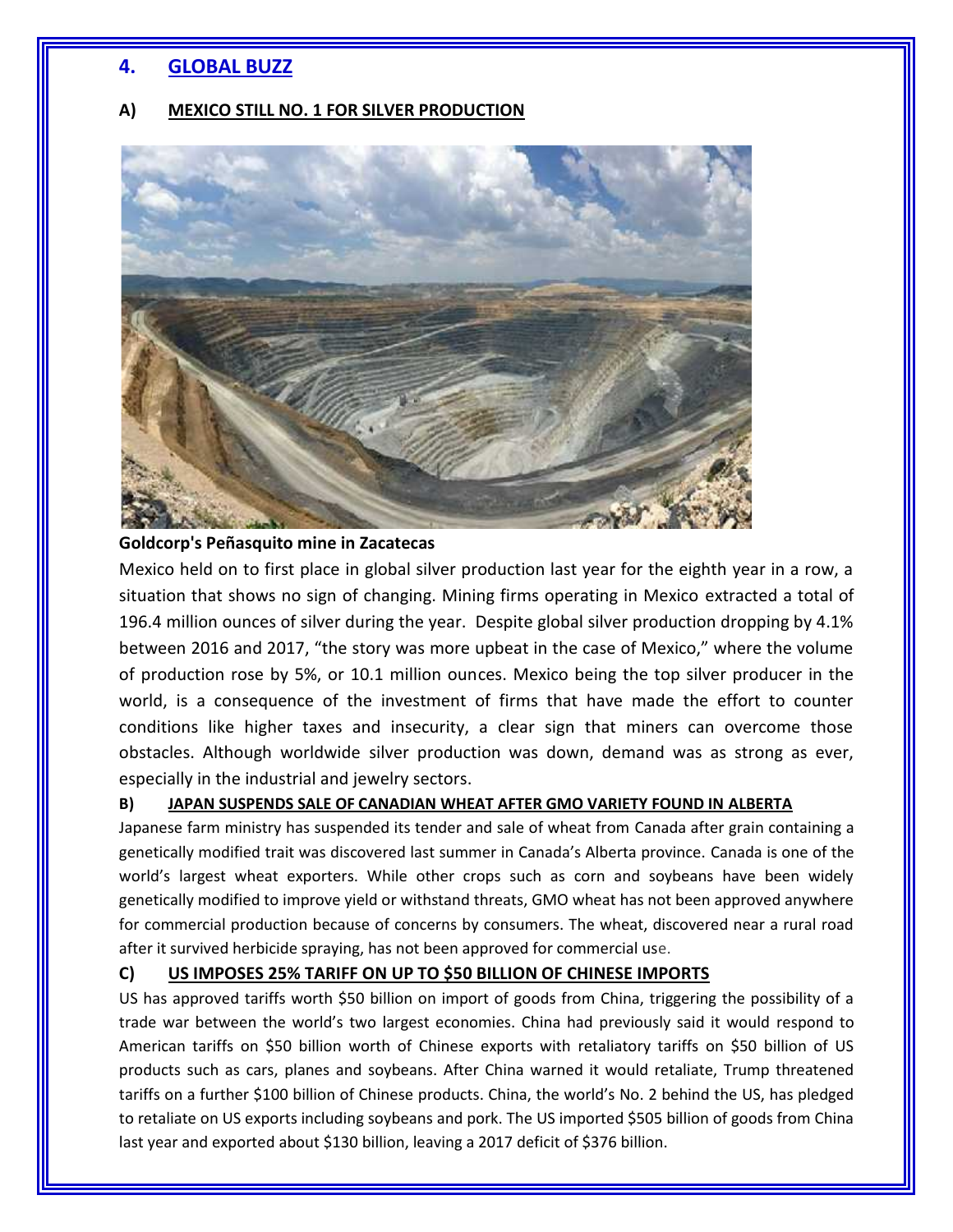# **4. GLOBAL BUZZ**

### **A) MEXICO STILL NO. 1 FOR SILVER PRODUCTION**



#### **Goldcorp's Peñasquito mine in Zacatecas**

Mexico held on to first place in global silver production last year for the eighth year in a row, a situation that shows no sign of changing. Mining firms operating in Mexico extracted a total of 196.4 million ounces of silver during the year. Despite global silver production dropping by 4.1% between 2016 and 2017, "the story was more upbeat in the case of Mexico," where the volume of production rose by 5%, or 10.1 million ounces. Mexico being the top silver producer in the world, is a consequence of the investment of firms that have made the effort to counter conditions like higher taxes and insecurity, a clear sign that miners can overcome those obstacles. Although worldwide silver production was down, demand was as strong as ever, especially in the industrial and jewelry sectors.

### **B) JAPAN SUSPENDS SALE OF CANADIAN WHEAT AFTER GMO VARIETY FOUND IN ALBERTA**

Japanese farm ministry has suspended its tender and sale of wheat from Canada after grain containing a genetically modified trait was discovered last summer in Canada's Alberta province. Canada is one of the world's largest wheat exporters. While other crops such as corn and soybeans have been widely genetically modified to improve yield or withstand threats, GMO wheat has not been approved anywhere for commercial production because of concerns by consumers. The wheat, discovered near a rural road after it survived herbicide spraying, has not been approved for commercial use.

### **C) US IMPOSES 25% TARIFF ON UP TO \$50 BILLION OF CHINESE IMPORTS**

US has approved tariffs worth \$50 billion on import of goods from China, triggering the possibility of a trade war between the world's two largest economies. China had previously said it would respond to American tariffs on \$50 billion worth of Chinese exports with retaliatory tariffs on \$50 billion of US products such as cars, planes and soybeans. After China warned it would retaliate, Trump threatened tariffs on a further \$100 billion of Chinese products. China, the world's No. 2 behind the US, has pledged to retaliate on US exports including soybeans and pork. The US imported \$505 billion of goods from China last year and exported about \$130 billion, leaving a 2017 deficit of \$376 billion.